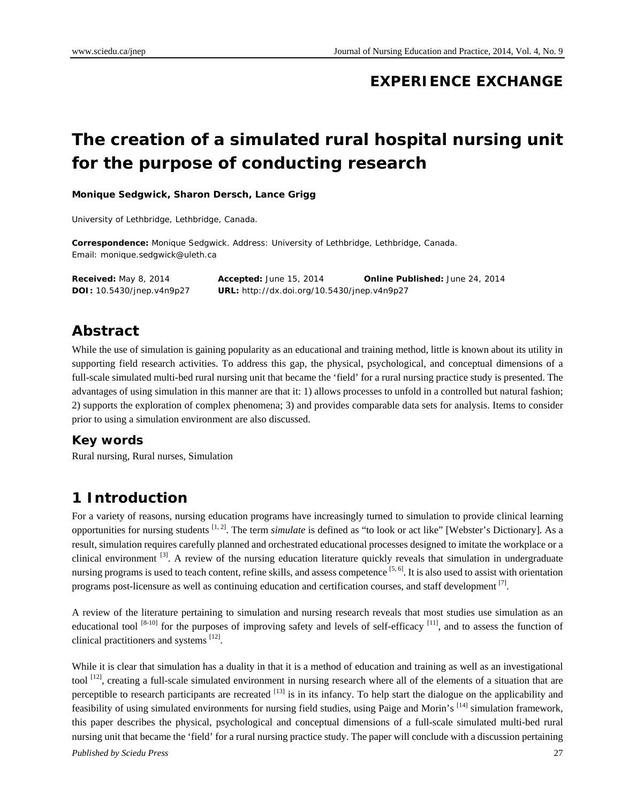### **EXPERIENCE EXCHANGE**

# **The creation of a simulated rural hospital nursing unit for the purpose of conducting research**

#### **Monique Sedgwick, Sharon Dersch, Lance Grigg**

University of Lethbridge, Lethbridge, Canada.

**Correspondence:** Monique Sedgwick. Address: University of Lethbridge, Lethbridge, Canada. Email: monique.sedgwick@uleth.ca

**Received:** May 8, 2014 **Accepted:** June 15, 2014 **Online Published:** June 24, 2014 **DOI:** 10.5430/jnep.v4n9p27 **URL:** http://dx.doi.org/10.5430/jnep.v4n9p27

## **Abstract**

While the use of simulation is gaining popularity as an educational and training method, little is known about its utility in supporting field research activities. To address this gap, the physical, psychological, and conceptual dimensions of a full-scale simulated multi-bed rural nursing unit that became the 'field' for a rural nursing practice study is presented. The advantages of using simulation in this manner are that it: 1) allows processes to unfold in a controlled but natural fashion; 2) supports the exploration of complex phenomena; 3) and provides comparable data sets for analysis. Items to consider prior to using a simulation environment are also discussed.

#### **Key words**

Rural nursing, Rural nurses, Simulation

## **1 Introduction**

For a variety of reasons, nursing education programs have increasingly turned to simulation to provide clinical learning opportunities for nursing students [1, 2]. The term *simulate* is defined as "to look or act like" [Webster's Dictionary]. As a result, simulation requires carefully planned and orchestrated educational processes designed to imitate the workplace or a clinical environment <sup>[3]</sup>. A review of the nursing education literature quickly reveals that simulation in undergraduate nursing programs is used to teach content, refine skills, and assess competence  $[5, 6]$ . It is also used to assist with orientation programs post-licensure as well as continuing education and certification courses, and staff development  $^{[7]}$ .

A review of the literature pertaining to simulation and nursing research reveals that most studies use simulation as an educational tool  $[8-10]$  for the purposes of improving safety and levels of self-efficacy  $[11]$ , and to assess the function of clinical practitioners and systems [12].

*Published by Sciedu Press* 27 While it is clear that simulation has a duality in that it is a method of education and training as well as an investigational tool  $[12]$ , creating a full-scale simulated environment in nursing research where all of the elements of a situation that are perceptible to research participants are recreated <sup>[13]</sup> is in its infancy. To help start the dialogue on the applicability and feasibility of using simulated environments for nursing field studies, using Paige and Morin's [14] simulation framework, this paper describes the physical, psychological and conceptual dimensions of a full-scale simulated multi-bed rural nursing unit that became the 'field' for a rural nursing practice study. The paper will conclude with a discussion pertaining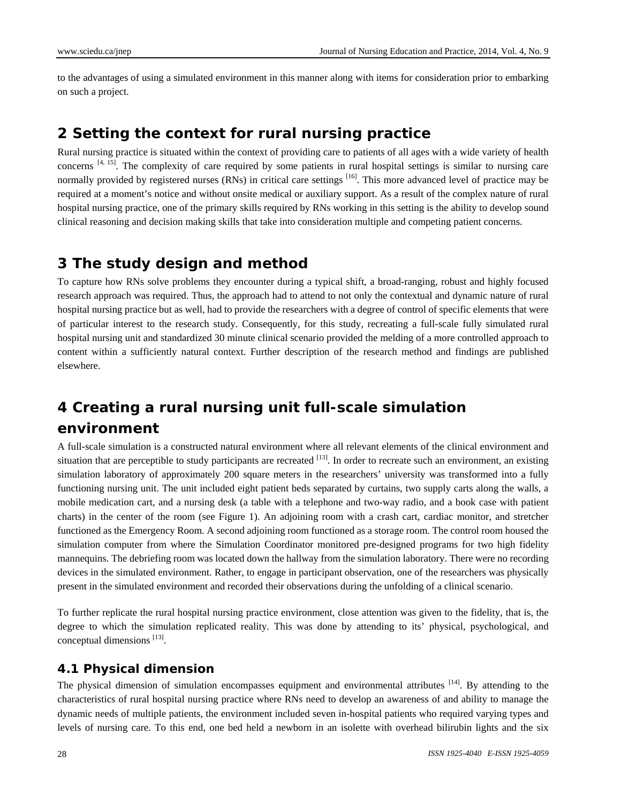to the advantages of using a simulated environment in this manner along with items for consideration prior to embarking on such a project.

## **2 Setting the context for rural nursing practice**

Rural nursing practice is situated within the context of providing care to patients of all ages with a wide variety of health concerns  $[4, 15]$ . The complexity of care required by some patients in rural hospital settings is similar to nursing care normally provided by registered nurses (RNs) in critical care settings [16]. This more advanced level of practice may be required at a moment's notice and without onsite medical or auxiliary support. As a result of the complex nature of rural hospital nursing practice, one of the primary skills required by RNs working in this setting is the ability to develop sound clinical reasoning and decision making skills that take into consideration multiple and competing patient concerns.

## **3 The study design and method**

To capture how RNs solve problems they encounter during a typical shift, a broad-ranging, robust and highly focused research approach was required. Thus, the approach had to attend to not only the contextual and dynamic nature of rural hospital nursing practice but as well, had to provide the researchers with a degree of control of specific elements that were of particular interest to the research study. Consequently, for this study, recreating a full-scale fully simulated rural hospital nursing unit and standardized 30 minute clinical scenario provided the melding of a more controlled approach to content within a sufficiently natural context. Further description of the research method and findings are published elsewhere.

# **4 Creating a rural nursing unit full-scale simulation environment**

A full-scale simulation is a constructed natural environment where all relevant elements of the clinical environment and situation that are perceptible to study participants are recreated  $^{[13]}$ . In order to recreate such an environment, an existing simulation laboratory of approximately 200 square meters in the researchers' university was transformed into a fully functioning nursing unit. The unit included eight patient beds separated by curtains, two supply carts along the walls, a mobile medication cart, and a nursing desk (a table with a telephone and two-way radio, and a book case with patient charts) in the center of the room (see Figure 1). An adjoining room with a crash cart, cardiac monitor, and stretcher functioned as the Emergency Room. A second adjoining room functioned as a storage room. The control room housed the simulation computer from where the Simulation Coordinator monitored pre-designed programs for two high fidelity mannequins. The debriefing room was located down the hallway from the simulation laboratory. There were no recording devices in the simulated environment. Rather, to engage in participant observation, one of the researchers was physically present in the simulated environment and recorded their observations during the unfolding of a clinical scenario.

To further replicate the rural hospital nursing practice environment, close attention was given to the fidelity, that is, the degree to which the simulation replicated reality. This was done by attending to its' physical, psychological, and conceptual dimensions  $^{[13]}$ .

### **4.1 Physical dimension**

The physical dimension of simulation encompasses equipment and environmental attributes [14]. By attending to the characteristics of rural hospital nursing practice where RNs need to develop an awareness of and ability to manage the dynamic needs of multiple patients, the environment included seven in-hospital patients who required varying types and levels of nursing care. To this end, one bed held a newborn in an isolette with overhead bilirubin lights and the six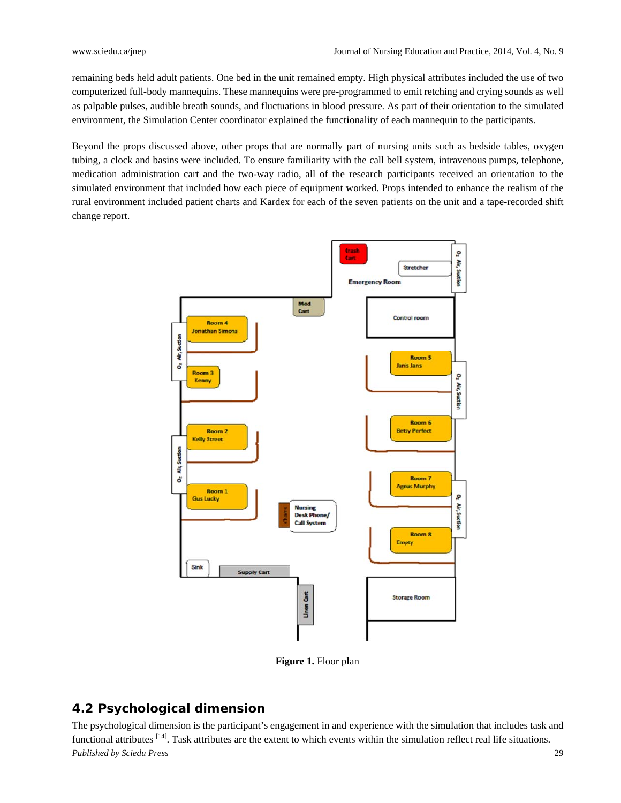remaining beds held adult patients. One bed in the unit remained empty. High physical attributes included the use of two computerized full-body mannequins. These mannequins were pre-programmed to emit retching and crying sounds as well as palpable pulses, audible breath sounds, and fluctuations in blood pressure. As part of their orientation to the simulated environment, the Simulation Center coordinator explained the functionality of each mannequin to the participants.

Beyond the props discussed above, other props that are normally part of nursing units such as bedside tables, oxygen tubing, a clock and basins were included. To ensure familiarity with the call bell system, intravenous pumps, telephone, medication administration cart and the two-way radio, all of the research participants received an orientation to the simulated environment that included how each piece of equipment worked. Props intended to enhance the realism of the rural environment included patient charts and Kardex for each of the seven patients on the unit and a tape-recorded shift change rep ort.



**Figure 1.** Floor plan

### **4.2 Psychological dimension**

**Published by Sciedu Press** The psychological dimension is the participant's engagement in and experience with the simulation that includes task and functional attributes  $[14]$ . Task attributes are the extent to which events within the simulation reflect real life situations. 29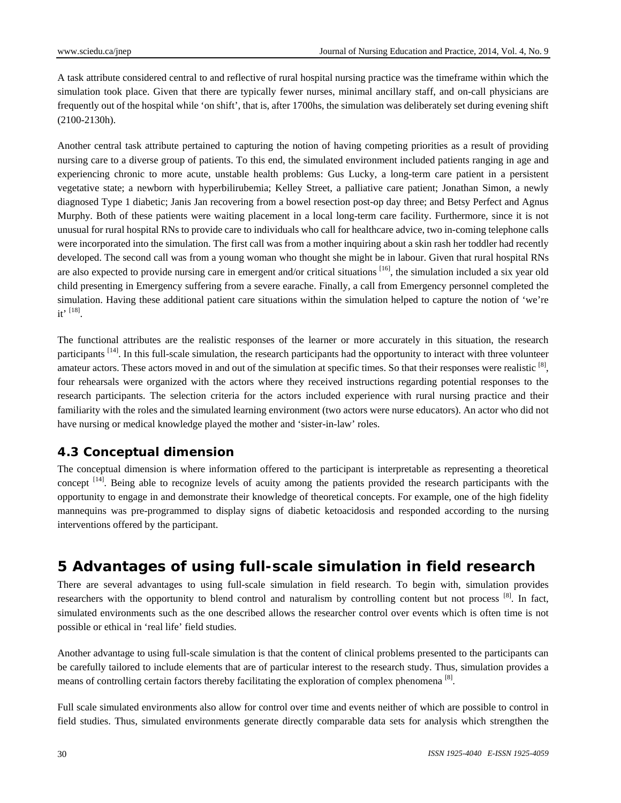A task attribute considered central to and reflective of rural hospital nursing practice was the timeframe within which the simulation took place. Given that there are typically fewer nurses, minimal ancillary staff, and on-call physicians are frequently out of the hospital while 'on shift', that is, after 1700hs, the simulation was deliberately set during evening shift (2100-2130h).

Another central task attribute pertained to capturing the notion of having competing priorities as a result of providing nursing care to a diverse group of patients. To this end, the simulated environment included patients ranging in age and experiencing chronic to more acute, unstable health problems: Gus Lucky, a long-term care patient in a persistent vegetative state; a newborn with hyperbilirubemia; Kelley Street, a palliative care patient; Jonathan Simon, a newly diagnosed Type 1 diabetic; Janis Jan recovering from a bowel resection post-op day three; and Betsy Perfect and Agnus Murphy. Both of these patients were waiting placement in a local long-term care facility. Furthermore, since it is not unusual for rural hospital RNs to provide care to individuals who call for healthcare advice, two in-coming telephone calls were incorporated into the simulation. The first call was from a mother inquiring about a skin rash her toddler had recently developed. The second call was from a young woman who thought she might be in labour. Given that rural hospital RNs are also expected to provide nursing care in emergent and/or critical situations  $^{[16]}$ , the simulation included a six year old child presenting in Emergency suffering from a severe earache. Finally, a call from Emergency personnel completed the simulation. Having these additional patient care situations within the simulation helped to capture the notion of 'we're it' [18].

The functional attributes are the realistic responses of the learner or more accurately in this situation, the research participants [14]. In this full-scale simulation, the research participants had the opportunity to interact with three volunteer amateur actors. These actors moved in and out of the simulation at specific times. So that their responses were realistic  $^{[8]}$ , four rehearsals were organized with the actors where they received instructions regarding potential responses to the research participants. The selection criteria for the actors included experience with rural nursing practice and their familiarity with the roles and the simulated learning environment (two actors were nurse educators). An actor who did not have nursing or medical knowledge played the mother and 'sister-in-law' roles.

### **4.3 Conceptual dimension**

The conceptual dimension is where information offered to the participant is interpretable as representing a theoretical concept <sup>[14]</sup>. Being able to recognize levels of acuity among the patients provided the research participants with the opportunity to engage in and demonstrate their knowledge of theoretical concepts. For example, one of the high fidelity mannequins was pre-programmed to display signs of diabetic ketoacidosis and responded according to the nursing interventions offered by the participant.

## **5 Advantages of using full-scale simulation in field research**

There are several advantages to using full-scale simulation in field research. To begin with, simulation provides researchers with the opportunity to blend control and naturalism by controlling content but not process  $[8]$ . In fact, simulated environments such as the one described allows the researcher control over events which is often time is not possible or ethical in 'real life' field studies.

Another advantage to using full-scale simulation is that the content of clinical problems presented to the participants can be carefully tailored to include elements that are of particular interest to the research study. Thus, simulation provides a means of controlling certain factors thereby facilitating the exploration of complex phenomena [8].

Full scale simulated environments also allow for control over time and events neither of which are possible to control in field studies. Thus, simulated environments generate directly comparable data sets for analysis which strengthen the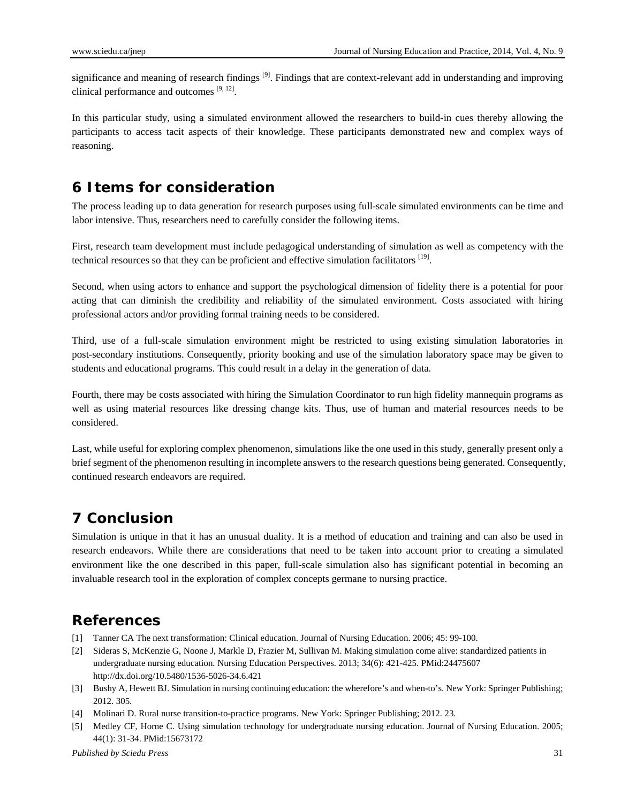significance and meaning of research findings <sup>[9]</sup>. Findings that are context-relevant add in understanding and improving clinical performance and outcomes [9, 12].

In this particular study, using a simulated environment allowed the researchers to build-in cues thereby allowing the participants to access tacit aspects of their knowledge. These participants demonstrated new and complex ways of reasoning.

## **6 Items for consideration**

The process leading up to data generation for research purposes using full-scale simulated environments can be time and labor intensive. Thus, researchers need to carefully consider the following items.

First, research team development must include pedagogical understanding of simulation as well as competency with the technical resources so that they can be proficient and effective simulation facilitators [19].

Second, when using actors to enhance and support the psychological dimension of fidelity there is a potential for poor acting that can diminish the credibility and reliability of the simulated environment. Costs associated with hiring professional actors and/or providing formal training needs to be considered.

Third, use of a full-scale simulation environment might be restricted to using existing simulation laboratories in post-secondary institutions. Consequently, priority booking and use of the simulation laboratory space may be given to students and educational programs. This could result in a delay in the generation of data.

Fourth, there may be costs associated with hiring the Simulation Coordinator to run high fidelity mannequin programs as well as using material resources like dressing change kits. Thus, use of human and material resources needs to be considered.

Last, while useful for exploring complex phenomenon, simulations like the one used in this study, generally present only a brief segment of the phenomenon resulting in incomplete answers to the research questions being generated. Consequently, continued research endeavors are required.

## **7 Conclusion**

Simulation is unique in that it has an unusual duality. It is a method of education and training and can also be used in research endeavors. While there are considerations that need to be taken into account prior to creating a simulated environment like the one described in this paper, full-scale simulation also has significant potential in becoming an invaluable research tool in the exploration of complex concepts germane to nursing practice.

## **References**

- [1] Tanner CA The next transformation: Clinical education. Journal of Nursing Education. 2006; 45: 99-100.
- [2] Sideras S, McKenzie G, Noone J, Markle D, Frazier M, Sullivan M. Making simulation come alive: standardized patients in undergraduate nursing education. Nursing Education Perspectives. 2013; 34(6): 421-425. PMid:24475607 http://dx.doi.org/10.5480/1536-5026-34.6.421
- [3] Bushy A, Hewett BJ. Simulation in nursing continuing education: the wherefore's and when-to's. New York: Springer Publishing; 2012. 305.
- [4] Molinari D. Rural nurse transition-to-practice programs. New York: Springer Publishing; 2012. 23.
- [5] Medley CF, Horne C. Using simulation technology for undergraduate nursing education. Journal of Nursing Education. 2005; 44(1): 31-34. PMid:15673172

*Published by Sciedu Press* 31